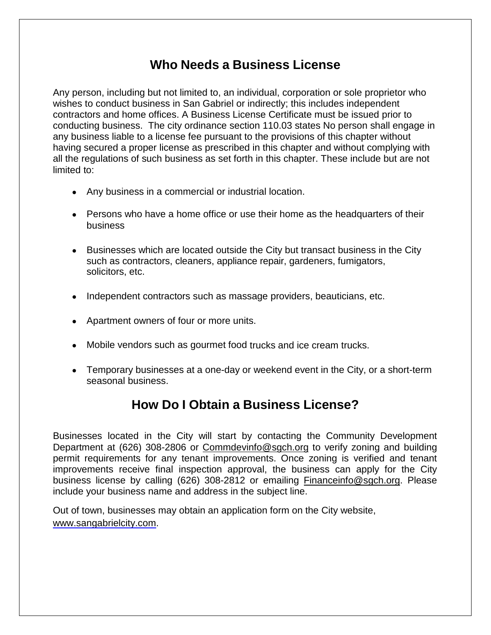# **Who Needs a Business License**

Any person, including but not limited to, an individual, corporation or sole proprietor who wishes to conduct business in San Gabriel or indirectly; this includes independent contractors and home offices. A Business License Certificate must be issued prior to conducting business. The city ordinance section 110.03 states No person shall engage in any business liable to a license fee pursuant to the provisions of this chapter without having secured a proper license as prescribed in this chapter and without complying with all the regulations of such business as set forth in this chapter. These include but are not limited to:

- Any business in a commercial or industrial location.
- Persons who have a home office or use their home as the headquarters of their business
- Businesses which are located outside the City but transact business in the City such as contractors, cleaners, appliance repair, gardeners, fumigators, solicitors, etc.
- Independent contractors such as massage providers, beauticians, etc.
- Apartment owners of four or more units.
- Mobile vendors such as gourmet food trucks and ice cream trucks.
- Temporary businesses at a one-day or weekend event in the City, or a short-term seasonal business.

# **How Do I Obtain a Business License?**

Businesses located in the City will start by contacting the Community Development Department at (626) 308-2806 or [Commdevinfo@sgch.org](mailto:Commdevinfo@sgch.org) to verify zoning and building permit requirements for any tenant improvements. Once zoning is verified and tenant improvements receive final inspection approval, the business can apply for the City business license by calling (626) 308-2812 or emailing [Financeinfo@sgch.org.](mailto:Financeinfo@sgch.org) Please include your business name and address in the subject line.

Out of town, businesses may obtain an application form on the City website, [www.sangabrielcity.com.](http://www.sangabrielcity.com/)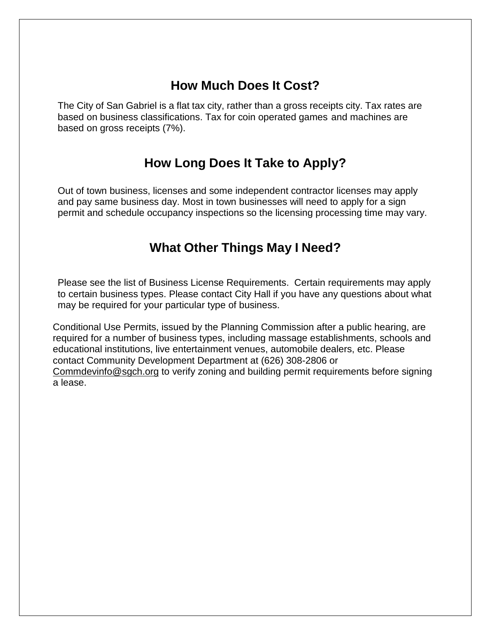# **How Much Does It Cost?**

The City of San Gabriel is a flat tax city, rather than a gross receipts city. Tax rates are based on business classifications. Tax for coin operated games and machines are based on gross receipts (7%).

# **How Long Does It Take to Apply?**

Out of town business, licenses and some independent contractor licenses may apply and pay same business day. Most in town businesses will need to apply for a sign permit and schedule occupancy inspections so the licensing processing time may vary.

# **What Other Things May I Need?**

Please see the list of Business License Requirements. Certain requirements may apply to certain business types. Please contact City Hall if you have any questions about what may be required for your particular type of business.

Conditional Use Permits, issued by the Planning Commission after a public hearing, are required for a number of business types, including massage establishments, schools and educational institutions, live entertainment venues, automobile dealers, etc. Please contact Community Development Department at (626) 308-2806 or [Commdevinfo@sgch.org](mailto:Commdevinfo@sgch.org) to verify zoning and building permit requirements before signing a lease.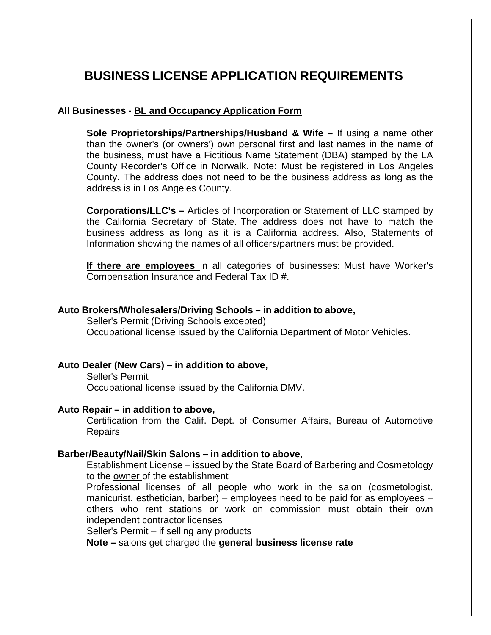# **BUSINESS LICENSE APPLICATION REQUIREMENTS**

### **All Businesses - BL and Occupancy Application Form**

**Sole Proprietorships/Partnerships/Husband & Wife –** If using a name other than the owner's (or owners') own personal first and last names in the name of the business, must have a Fictitious Name Statement (DBA) stamped by the LA County Recorder's Office in Norwalk. Note: Must be registered in Los Angeles County. The address does not need to be the business address as long as the address is in Los Angeles County.

**Corporations/LLC's –** Articles of Incorporation or Statement of LLC stamped by the California Secretary of State. The address does not have to match the business address as long as it is a California address. Also, Statements of Information showing the names of all officers/partners must be provided.

**If there are employees** in all categories of businesses: Must have Worker's Compensation Insurance and Federal Tax ID #.

#### **Auto Brokers/Wholesalers/Driving Schools – in addition to above,**

Seller's Permit (Driving Schools excepted) Occupational license issued by the California Department of Motor Vehicles.

#### **Auto Dealer (New Cars) – in addition to above,**

Seller's Permit Occupational license issued by the California DMV.

### **Auto Repair – in addition to above,**

Certification from the Calif. Dept. of Consumer Affairs, Bureau of Automotive Repairs

#### **Barber/Beauty/Nail/Skin Salons – in addition to above**,

Establishment License – issued by the State Board of Barbering and Cosmetology to the owner of the establishment

Professional licenses of all people who work in the salon (cosmetologist, manicurist, esthetician, barber) – employees need to be paid for as employees – others who rent stations or work on commission must obtain their own independent contractor licenses

Seller's Permit – if selling any products

**Note –** salons get charged the **general business license rate**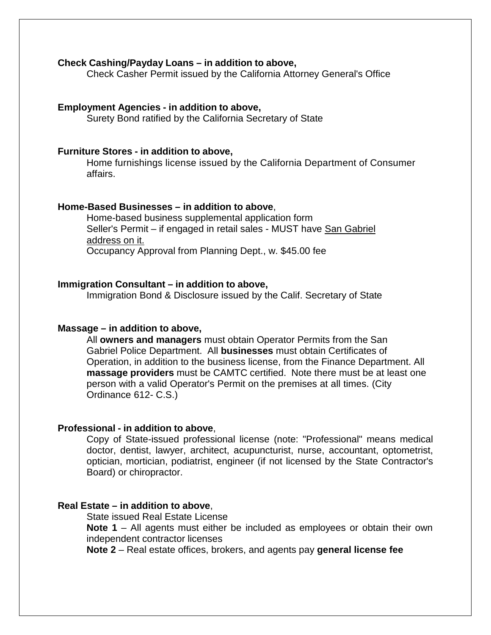#### **Check Cashing/Payday Loans – in addition to above,**

Check Casher Permit issued by the California Attorney General's Office

### **Employment Agencies - in addition to above,**

Surety Bond ratified by the California Secretary of State

#### **Furniture Stores - in addition to above,**

Home furnishings license issued by the California Department of Consumer affairs.

### **Home-Based Businesses – in addition to above**,

Home-based business supplemental application form Seller's Permit – if engaged in retail sales - MUST have San Gabriel address on it. Occupancy Approval from Planning Dept., w. \$45.00 fee

#### **Immigration Consultant – in addition to above,**

Immigration Bond & Disclosure issued by the Calif. Secretary of State

#### **Massage – in addition to above,**

All **owners and managers** must obtain Operator Permits from the San Gabriel Police Department. All **businesses** must obtain Certificates of Operation, in addition to the business license, from the Finance Department. All **massage providers** must be CAMTC certified. Note there must be at least one person with a valid Operator's Permit on the premises at all times. (City Ordinance 612- C.S.)

#### **Professional - in addition to above**,

Copy of State-issued professional license (note: "Professional" means medical doctor, dentist, lawyer, architect, acupuncturist, nurse, accountant, optometrist, optician, mortician, podiatrist, engineer (if not licensed by the State Contractor's Board) or chiropractor.

### **Real Estate – in addition to above**,

State issued Real Estate License **Note 1** – All agents must either be included as employees or obtain their own independent contractor licenses

**Note 2** – Real estate offices, brokers, and agents pay **general license fee**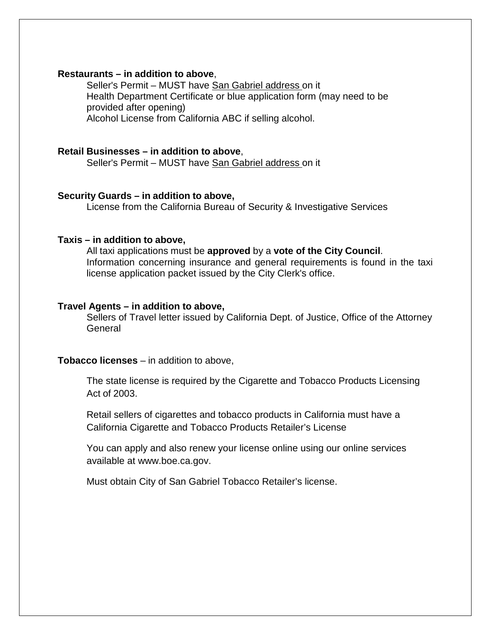#### **Restaurants – in addition to above**,

Seller's Permit – MUST have San Gabriel address on it Health Department Certificate or blue application form (may need to be provided after opening) Alcohol License from California ABC if selling alcohol.

#### **Retail Businesses – in addition to above**,

Seller's Permit – MUST have San Gabriel address on it

#### **Security Guards – in addition to above,**

License from the California Bureau of Security & Investigative Services

#### **Taxis – in addition to above,**

All taxi applications must be **approved** by a **vote of the City Council**. Information concerning insurance and general requirements is found in the taxi license application packet issued by the City Clerk's office.

#### **Travel Agents – in addition to above,**

Sellers of Travel letter issued by California Dept. of Justice, Office of the Attorney General

### **Tobacco licenses** – in addition to above,

The state license is required by the Cigarette and Tobacco Products Licensing Act of 2003.

Retail sellers of cigarettes and tobacco products in California must have a California Cigarette and Tobacco Products Retailer's License

You can apply and also renew your license online using our online service[s](http://www.boe.ca.gov/) [available at www.boe.ca.gov.](http://www.boe.ca.gov/)

Must obtain City of San Gabriel Tobacco Retailer's license.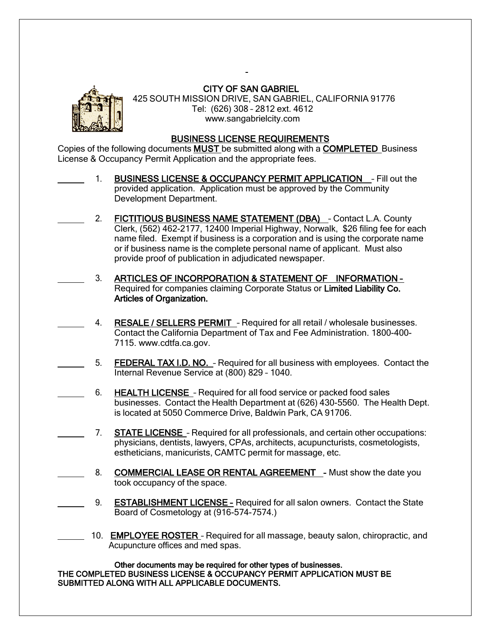

## CITY OF SAN GABRIEL

 425 SOUTH MISSION DRIVE, SAN GABRIEL, CALIFORNIA 91776 Tel: (626) 308 – 2812 ext. 4612 [www.sangabrielcity.com](http://www.sangabrielcity.com/)

#### BUSINESS LICENSE REQUIREMENTS

Copies of the following documents MUST be submitted along with a COMPLETED Business License & Occupancy Permit Application and the appropriate fees.

- 1. BUSINESS LICENSE & OCCUPANCY PERMIT APPLICATION \_- Fill out the provided application. Application must be approved by the Community Development Department.
- 2. FICTITIOUS BUSINESS NAME STATEMENT (DBA) Contact L.A. County Clerk, (562) 462-2177, 12400 Imperial Highway, Norwalk, \$26 filing fee for each name filed. Exempt if business is a corporation and is using the corporate name or if business name is the complete personal name of applicant. Must also provide proof of publication in adjudicated newspaper.
- 3. ARTICLES OF INCORPORATION & STATEMENT OF INFORMATION Required for companies claiming Corporate Status or Limited Liability Co. Articles of Organization.
- 4. RESALE / SELLERS PERMIT Required for all retail / wholesale businesses. Contact the California Department of Tax and Fee Administration. 1800-400- 7115. www.cdtfa.ca.gov.
- 5. FEDERAL TAX I.D. NO. Required for all business with employees. Contact the Internal Revenue Service at (800) 829 – 1040.
	- 6. HEALTH LICENSE Required for all food service or packed food sales businesses. Contact the Health Department at (626) 430-5560. The Health Dept. is located at 5050 Commerce Drive, Baldwin Park, CA 91706.
	- 7. STATE LICENSE Required for all professionals, and certain other occupations: physicians, dentists, lawyers, CPAs, architects, acupuncturists, cosmetologists, estheticians, manicurists, CAMTC permit for massage, etc.
	- 8. COMMERCIAL LEASE OR RENTAL AGREEMENT Must show the date you took occupancy of the space.
- 9. **ESTABLISHMENT LICENSE Required for all salon owners. Contact the State** Board of Cosmetology at (916-574-7574.)
- 10. EMPLOYEE ROSTER Required for all massage, beauty salon, chiropractic, and Acupuncture offices and med spas.

Other documents may be required for other types of businesses. THE COMPLETED BUSINESS LICENSE & OCCUPANCY PERMIT APPLICATION MUST BE SUBMITTED ALONG WITH ALL APPLICABLE DOCUMENTS.